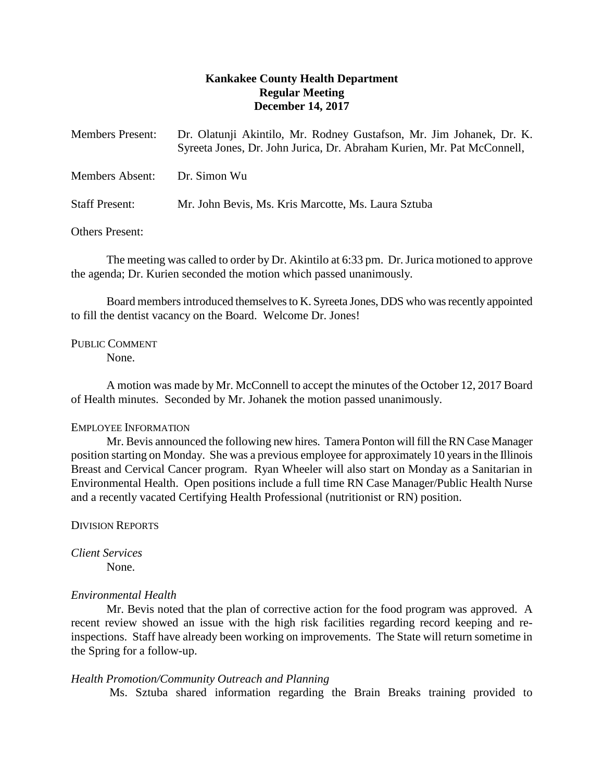# **Kankakee County Health Department Regular Meeting December 14, 2017**

| <b>Members Present:</b> | Dr. Olatunji Akintilo, Mr. Rodney Gustafson, Mr. Jim Johanek, Dr. K.<br>Syreeta Jones, Dr. John Jurica, Dr. Abraham Kurien, Mr. Pat McConnell, |
|-------------------------|------------------------------------------------------------------------------------------------------------------------------------------------|
| Members Absent:         | Dr. Simon Wu                                                                                                                                   |
| <b>Staff Present:</b>   | Mr. John Bevis, Ms. Kris Marcotte, Ms. Laura Sztuba                                                                                            |

Others Present:

The meeting was called to order by Dr. Akintilo at 6:33 pm. Dr.Jurica motioned to approve the agenda; Dr. Kurien seconded the motion which passed unanimously.

Board members introduced themselves to K. Syreeta Jones, DDS who was recently appointed to fill the dentist vacancy on the Board. Welcome Dr. Jones!

PUBLIC COMMENT

None.

A motion was made by Mr. McConnell to accept the minutes of the October 12, 2017 Board of Health minutes. Seconded by Mr. Johanek the motion passed unanimously.

## EMPLOYEE INFORMATION

Mr. Bevis announced the following new hires. Tamera Ponton will fill the RN Case Manager position starting on Monday. She was a previous employee for approximately 10 years in the Illinois Breast and Cervical Cancer program. Ryan Wheeler will also start on Monday as a Sanitarian in Environmental Health. Open positions include a full time RN Case Manager/Public Health Nurse and a recently vacated Certifying Health Professional (nutritionist or RN) position.

DIVISION REPORTS

*Client Services* None.

## *Environmental Health*

Mr. Bevis noted that the plan of corrective action for the food program was approved. A recent review showed an issue with the high risk facilities regarding record keeping and reinspections. Staff have already been working on improvements. The State will return sometime in the Spring for a follow-up.

## *Health Promotion/Community Outreach and Planning*

Ms. Sztuba shared information regarding the Brain Breaks training provided to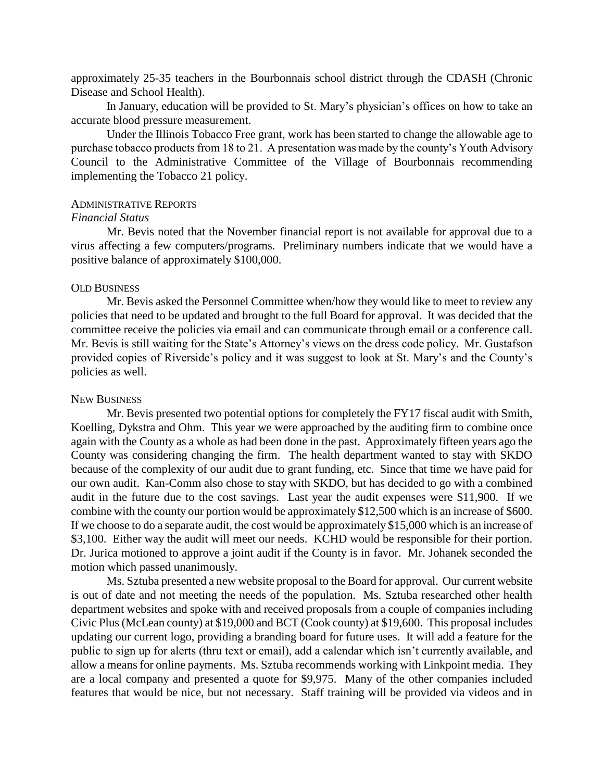approximately 25-35 teachers in the Bourbonnais school district through the CDASH (Chronic Disease and School Health).

In January, education will be provided to St. Mary's physician's offices on how to take an accurate blood pressure measurement.

Under the Illinois Tobacco Free grant, work has been started to change the allowable age to purchase tobacco products from 18 to 21. A presentation was made by the county's Youth Advisory Council to the Administrative Committee of the Village of Bourbonnais recommending implementing the Tobacco 21 policy.

#### ADMINISTRATIVE REPORTS

### *Financial Status*

Mr. Bevis noted that the November financial report is not available for approval due to a virus affecting a few computers/programs. Preliminary numbers indicate that we would have a positive balance of approximately \$100,000.

### OLD BUSINESS

Mr. Bevis asked the Personnel Committee when/how they would like to meet to review any policies that need to be updated and brought to the full Board for approval. It was decided that the committee receive the policies via email and can communicate through email or a conference call. Mr. Bevis is still waiting for the State's Attorney's views on the dress code policy. Mr. Gustafson provided copies of Riverside's policy and it was suggest to look at St. Mary's and the County's policies as well.

#### NEW BUSINESS

Mr. Bevis presented two potential options for completely the FY17 fiscal audit with Smith, Koelling, Dykstra and Ohm. This year we were approached by the auditing firm to combine once again with the County as a whole as had been done in the past. Approximately fifteen years ago the County was considering changing the firm. The health department wanted to stay with SKDO because of the complexity of our audit due to grant funding, etc. Since that time we have paid for our own audit. Kan-Comm also chose to stay with SKDO, but has decided to go with a combined audit in the future due to the cost savings. Last year the audit expenses were \$11,900. If we combine with the county our portion would be approximately \$12,500 which is an increase of \$600. If we choose to do a separate audit, the cost would be approximately \$15,000 which is an increase of \$3,100. Either way the audit will meet our needs. KCHD would be responsible for their portion. Dr. Jurica motioned to approve a joint audit if the County is in favor. Mr. Johanek seconded the motion which passed unanimously.

Ms. Sztuba presented a new website proposal to the Board for approval. Our current website is out of date and not meeting the needs of the population. Ms. Sztuba researched other health department websites and spoke with and received proposals from a couple of companies including Civic Plus (McLean county) at \$19,000 and BCT (Cook county) at \$19,600. This proposal includes updating our current logo, providing a branding board for future uses. It will add a feature for the public to sign up for alerts (thru text or email), add a calendar which isn't currently available, and allow a means for online payments. Ms. Sztuba recommends working with Linkpoint media. They are a local company and presented a quote for \$9,975. Many of the other companies included features that would be nice, but not necessary. Staff training will be provided via videos and in